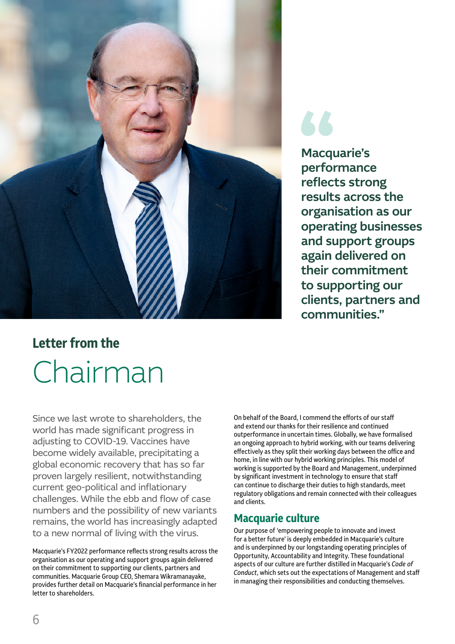

Macquarie's performance reflects strong results across the organisation as our operating businesses and support groups again delivered on their commitment to supporting our clients, partners and communities."

# **Letter from the** Chairman

Since we last wrote to shareholders, the world has made significant progress in adjusting to COVID-19. Vaccines have become widely available, precipitating a global economic recovery that has so far proven largely resilient, notwithstanding current geo-political and inflationary challenges. While the ebb and flow of case numbers and the possibility of new variants remains, the world has increasingly adapted to a new normal of living with the virus.

Macquarie's FY2022 performance reflects strong results across the organisation as our operating and support groups again delivered on their commitment to supporting our clients, partners and communities. Macquarie Group CEO, Shemara Wikramanayake, provides further detail on Macquarie's financial performance in her letter to shareholders.

On behalf of the Board, I commend the efforts of our staff and extend our thanks for their resilience and continued outperformance in uncertain times. Globally, we have formalised an ongoing approach to hybrid working, with our teams delivering effectively as they split their working days between the office and home, in line with our hybrid working principles. This model of working is supported by the Board and Management, underpinned by significant investment in technology to ensure that staff can continue to discharge their duties to high standards, meet regulatory obligations and remain connected with their colleagues and clients.

## **Macquarie culture**

Our purpose of 'empowering people to innovate and invest for a better future' is deeply embedded in Macquarie's culture and is underpinned by our longstanding operating principles of Opportunity, Accountability and Integrity. These foundational aspects of our culture are further distilled in Macquarie's *Code of Conduct*, which sets out the expectations of Management and staff in managing their responsibilities and conducting themselves.